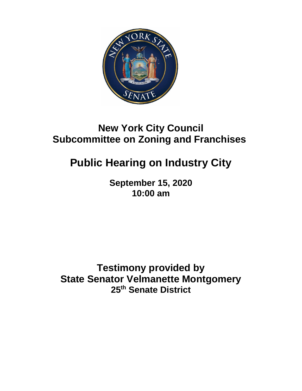

## **New York City Council Subcommittee on Zoning and Franchises**

## **Public Hearing on Industry City**

**September 15, 2020 10:00 am**

**Testimony provided by State Senator Velmanette Montgomery 25th Senate District**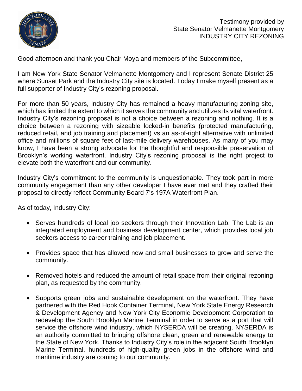

Good afternoon and thank you Chair Moya and members of the Subcommittee,

I am New York State Senator Velmanette Montgomery and I represent Senate District 25 where Sunset Park and the Industry City site is located. Today I make myself present as a full supporter of Industry City's rezoning proposal.

For more than 50 years, Industry City has remained a heavy manufacturing zoning site, which has limited the extent to which it serves the community and utilizes its vital waterfront. Industry City's rezoning proposal is not a choice between a rezoning and nothing. It is a choice between a rezoning with sizeable locked-in benefits (protected manufacturing, reduced retail, and job training and placement) vs an as-of-right alternative with unlimited office and millions of square feet of last-mile delivery warehouses. As many of you may know, I have been a strong advocate for the thoughtful and responsible preservation of Brooklyn's working waterfront. Industry City's rezoning proposal is the right project to elevate both the waterfront and our community.

Industry City's commitment to the community is unquestionable. They took part in more community engagement than any other developer I have ever met and they crafted their proposal to directly reflect Community Board 7's 197A Waterfront Plan.

As of today, Industry City:

- Serves hundreds of local job seekers through their Innovation Lab. The Lab is an integrated employment and business development center, which provides local job seekers access to career training and job placement.
- Provides space that has allowed new and small businesses to grow and serve the community.
- Removed hotels and reduced the amount of retail space from their original rezoning plan, as requested by the community.
- Supports green jobs and sustainable development on the waterfront. They have partnered with the Red Hook Container Terminal, New York State Energy Research & Development Agency and New York City Economic Development Corporation to redevelop the South Brooklyn Marine Terminal in order to serve as a port that will service the offshore wind industry, which NYSERDA will be creating. NYSERDA is an authority committed to bringing offshore clean, green and renewable energy to the State of New York. Thanks to Industry City's role in the adjacent South Brooklyn Marine Terminal, hundreds of high-quality green jobs in the offshore wind and maritime industry are coming to our community.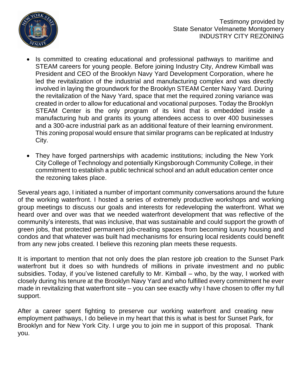

- Is committed to creating educational and professional pathways to maritime and STEAM careers for young people. Before joining Industry City, Andrew Kimball was President and CEO of the Brooklyn Navy Yard Development Corporation, where he led the revitalization of the industrial and manufacturing complex and was directly involved in laying the groundwork for the Brooklyn STEAM Center Navy Yard. During the revitalization of the Navy Yard, space that met the required zoning variance was created in order to allow for educational and vocational purposes. Today the Brooklyn STEAM Center is the only program of its kind that is embedded inside a manufacturing hub and grants its young attendees access to over 400 businesses and a 300-acre industrial park as an additional feature of their learning environment. This zoning proposal would ensure that similar programs can be replicated at Industry City.
- They have forged partnerships with academic institutions; including the New York City College of Technology and potentially Kingsborough Community College, in their commitment to establish a public technical school and an adult education center once the rezoning takes place.

Several years ago, I initiated a number of important community conversations around the future of the working waterfront. I hosted a series of extremely productive workshops and working group meetings to discuss our goals and interests for redeveloping the waterfront. What we heard over and over was that we needed waterfront development that was reflective of the community's interests, that was inclusive, that was sustainable and could support the growth of green jobs, that protected permanent job-creating spaces from becoming luxury housing and condos and that whatever was built had mechanisms for ensuring local residents could benefit from any new jobs created. I believe this rezoning plan meets these requests.

It is important to mention that not only does the plan restore job creation to the Sunset Park waterfront but it does so with hundreds of millions in private investment and no public subsidies. Today, if you've listened carefully to Mr. Kimball – who, by the way, I worked with closely during his tenure at the Brooklyn Navy Yard and who fulfilled every commitment he ever made in revitalizing that waterfront site – you can see exactly why I have chosen to offer my full support.

After a career spent fighting to preserve our working waterfront and creating new employment pathways, I do believe in my heart that this is what is best for Sunset Park, for Brooklyn and for New York City. I urge you to join me in support of this proposal. Thank you.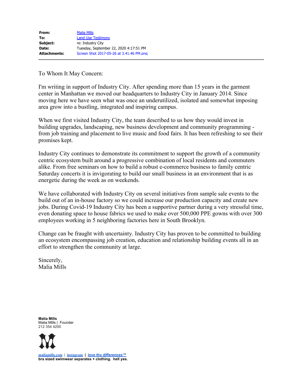To Whom It May Concern:

I'm writing in support of Industry City. After spending more than 15 years in the garment center in Manhattan we moved our headquarters to Industry City in January 2014. Since moving here we have seen what was once an underutilized, isolated and somewhat imposing area grow into a bustling, integrated and inspiring campus.

When we first visited Industry City, the team described to us how they would invest in building upgrades, landscaping, new business development and community programming from job training and placement to live music and food fairs. It has been refreshing to see their promises kept.

Industry City continues to demonstrate its commitment to support the growth of a community centric ecosystem built around a progressive combination of local residents and commuters alike. From free seminars on how to build a robust e-commerce business to family centric Saturday concerts it is invigorating to build our small business in an environment that is as energetic during the week as on weekends.

We have collaborated with Industry City on several initiatives from sample sale events to the build out of an in-house factory so we could increase our production capacity and create new jobs. During Covid-19 Industry City has been a supportive partner during a very stressful time, even donating space to house fabrics we used to make over 500,000 PPE gowns with over 300 employees working in 5 neighboring factories here in South Brooklyn.

Change can be fraught with uncertainty. Industry City has proven to be committed to building an ecosystem encompassing job creation, education and relationship building events all in an effort to strengthen the community at large.

Sincerely, Malia Mills

**Malia Mills** Malia Mills | Founder 212 354 4200



**[maliamills.com](http://maliamills.com/) | [instagram](https://www.instagram.com/maliamillsnyc/) | [love thy differences™](https://www.maliamills.com/pages/about-us) bra sized swimwear separates + clothing. hell yes.**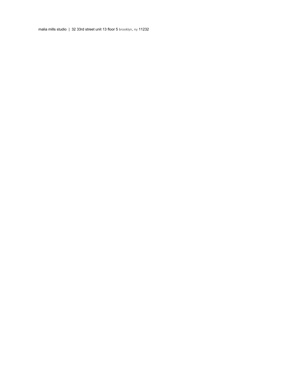malia mills studio | 32 33rd street unit 13 floor 5 brooklyn, ny 11232